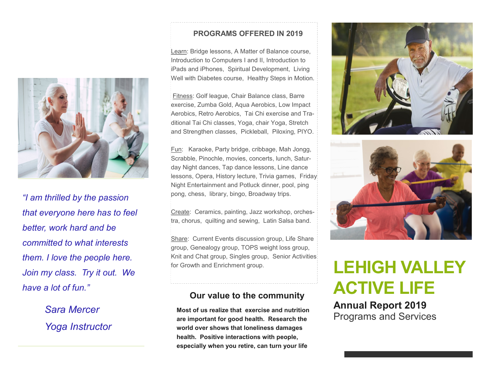

*"I am thrilled by the passion that everyone here has to feel better, work hard and be committed to what interests them. I love the people here. Join my class. Try it out. We have a lot of fun."* 

> *Sara Mercer Yoga Instructor*

#### **PROGRAMS OFFERED IN 2019**

Learn: Bridge lessons, A Matter of Balance course, Introduction to Computers I and II, Introduction to iPads and iPhones, Spiritual Development, Living Well with Diabetes course, Healthy Steps in Motion.

Fitness: Golf league, Chair Balance class, Barre exercise, Zumba Gold, Aqua Aerobics, Low Impact Aerobics, Retro Aerobics, Tai Chi exercise and Traditional Tai Chi classes, Yoga, chair Yoga, Stretch and Strengthen classes, Pickleball, Piloxing, PIYO.

Fun: Karaoke, Party bridge, cribbage, Mah Jongg, Scrabble, Pinochle, movies, concerts, lunch, Saturday Night dances, Tap dance lessons, Line dance lessons, Opera, History lecture, Trivia games, Friday Night Entertainment and Potluck dinner, pool, ping pong, chess, library, bingo, Broadway trips.

Create: Ceramics, painting, Jazz workshop, orchestra, chorus, quilting and sewing, Latin Salsa band.

Share: Current Events discussion group, Life Share group, Genealogy group, TOPS weight loss group, Knit and Chat group, Singles group, Senior Activities for Growth and Enrichment group.

#### **Our value to the community**

**Most of us realize that exercise and nutrition are important for good health. Research the world over shows that loneliness damages health. Positive interactions with people, especially when you retire, can turn your life** 





# **LEHIGH VALLEY ACTIVE LIFE**

**Annual Report 2019** Programs and Services